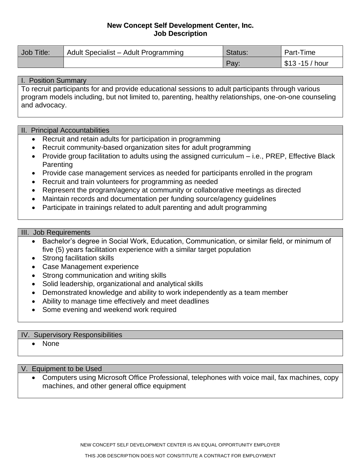# **New Concept Self Development Center, Inc. Job Description**

| Job Title: | Adult Specialist - Adult Programming | Status: | Part-Time         |
|------------|--------------------------------------|---------|-------------------|
|            |                                      | Pay.    | , \$13 -15 / hour |

### I. Position Summary

To recruit participants for and provide educational sessions to adult participants through various program models including, but not limited to, parenting, healthy relationships, one-on-one counseling and advocacy.

## II. Principal Accountabilities

- Recruit and retain adults for participation in programming
- Recruit community-based organization sites for adult programming
- Provide group facilitation to adults using the assigned curriculum i.e., PREP, Effective Black **Parenting**
- Provide case management services as needed for participants enrolled in the program
- Recruit and train volunteers for programming as needed
- Represent the program/agency at community or collaborative meetings as directed
- Maintain records and documentation per funding source/agency guidelines
- Participate in trainings related to adult parenting and adult programming

# III. Job Requirements

- Bachelor's degree in Social Work, Education, Communication, or similar field, or minimum of five (5) years facilitation experience with a similar target population
- Strong facilitation skills
- Case Management experience
- Strong communication and writing skills
- Solid leadership, organizational and analytical skills
- Demonstrated knowledge and ability to work independently as a team member
- Ability to manage time effectively and meet deadlines
- Some evening and weekend work required

#### IV. Supervisory Responsibilities

• None

V. Equipment to be Used

• Computers using Microsoft Office Professional, telephones with voice mail, fax machines, copy machines, and other general office equipment